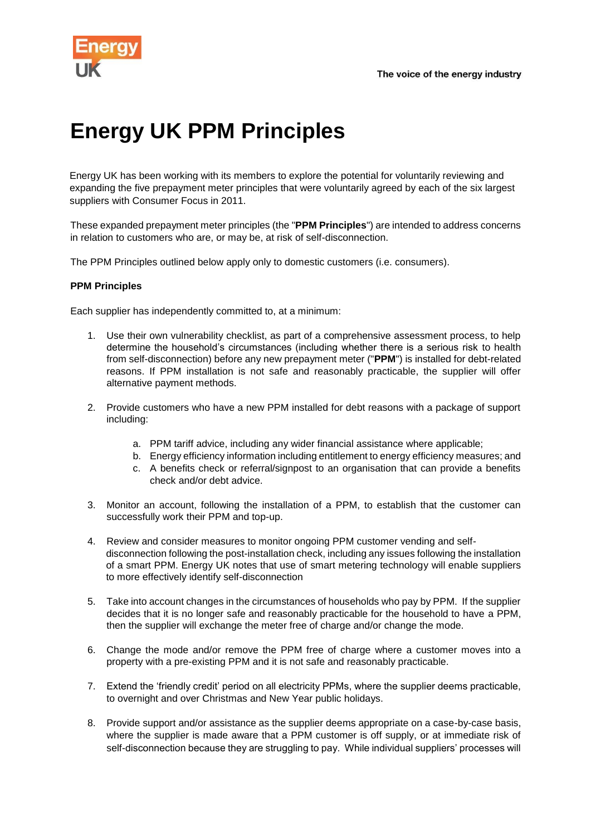

## **Energy UK PPM Principles**

Energy UK has been working with its members to explore the potential for voluntarily reviewing and expanding the five prepayment meter principles that were voluntarily agreed by each of the six largest suppliers with Consumer Focus in 2011.

These expanded prepayment meter principles (the "**PPM Principles**") are intended to address concerns in relation to customers who are, or may be, at risk of self-disconnection.

The PPM Principles outlined below apply only to domestic customers (i.e. consumers).

## **PPM Principles**

Each supplier has independently committed to, at a minimum:

- 1. Use their own vulnerability checklist, as part of a comprehensive assessment process, to help determine the household's circumstances (including whether there is a serious risk to health from self-disconnection) before any new prepayment meter ("**PPM**") is installed for debt-related reasons. If PPM installation is not safe and reasonably practicable, the supplier will offer alternative payment methods.
- 2. Provide customers who have a new PPM installed for debt reasons with a package of support including:
	- a. PPM tariff advice, including any wider financial assistance where applicable;
	- b. Energy efficiency information including entitlement to energy efficiency measures; and
	- c. A benefits check or referral/signpost to an organisation that can provide a benefits check and/or debt advice.
- 3. Monitor an account, following the installation of a PPM, to establish that the customer can successfully work their PPM and top-up.
- 4. Review and consider measures to monitor ongoing PPM customer vending and selfdisconnection following the post-installation check, including any issues following the installation of a smart PPM. Energy UK notes that use of smart metering technology will enable suppliers to more effectively identify self-disconnection
- 5. Take into account changes in the circumstances of households who pay by PPM. If the supplier decides that it is no longer safe and reasonably practicable for the household to have a PPM, then the supplier will exchange the meter free of charge and/or change the mode.
- 6. Change the mode and/or remove the PPM free of charge where a customer moves into a property with a pre-existing PPM and it is not safe and reasonably practicable.
- 7. Extend the 'friendly credit' period on all electricity PPMs, where the supplier deems practicable, to overnight and over Christmas and New Year public holidays.
- 8. Provide support and/or assistance as the supplier deems appropriate on a case-by-case basis, where the supplier is made aware that a PPM customer is off supply, or at immediate risk of self-disconnection because they are struggling to pay. While individual suppliers' processes will